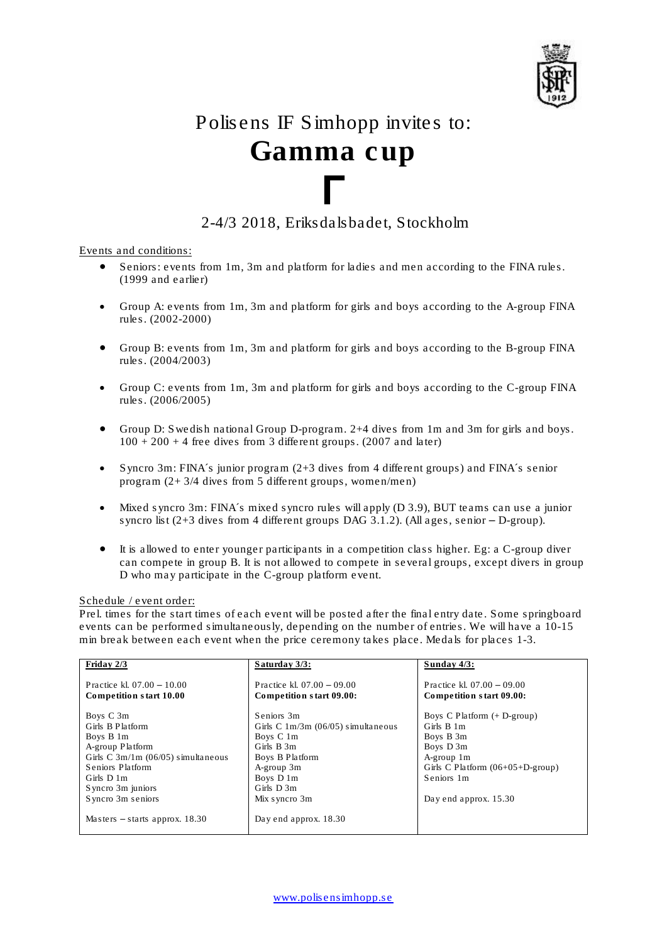

# Polisens IF Simhopp invites to: *Gamma cup*

# Γ 2-4/3 2018, Eriksdalsbadet, Stockholm

Events and conditions:

- Seniors: events from 1m, 3m and platform for ladies and men according to the FINA rules. (1999 and earlier)
- Group A: events from 1m, 3m and platform for girls and boys according to the A-group FINA rules. (2002-2000)
- Group B: events from 1m, 3m and platform for girls and boys according to the B-group FINA rules. (2004/2003)
- Group C: events from 1m, 3m and platform for girls and boys according to the C-group FINA rules. (2006/2005)
- Group D: Swedish national Group D-program. 2+4 dives from 1m and 3m for girls and boys.  $100 + 200 + 4$  free dives from 3 different groups. (2007 and later)
- Syncro 3m: FINA´s junior program (2+3 dives from 4 different groups) and FINA´s senior program (2+ 3/4 dives from 5 different groups, women/men)
- Mixed syncro 3m: FINA´s mixed syncro rules will apply (D 3.9), BUT teams can use a junior syncro list  $(2+3$  dives from 4 different groups DAG 3.1.2). (All ages, senior  $-$  D-group).
- It is allowed to enter younger participants in a competition class higher. Eg: a C-group diver can compete in group B. It is not allowed to compete in several groups, except divers in group D who may participate in the C-group platform event.

# Schedule / event order:

Prel. times for the start times of each event will be posted after the final entry date. Some springboard events can be performed simultaneously, depending on the number of entries. We will have a 10-15 min break between each event when the price ceremony takes place. Medals for places 1-3.

| Friday $2/3$                         | Saturday $3/3$ :                     | Sunday $4/3$ :                            |
|--------------------------------------|--------------------------------------|-------------------------------------------|
| Practice kl. $07.00 - 10.00$         | Practice kl. $07.00 - 09.00$         | Practice kl. $07.00 - 09.00$              |
| Competition start 10.00              | Competition start 09.00:             | Competition start 09.00:                  |
| Boys C 3m                            | Seniors 3m                           | Boys C Platform $(+$ D-group)             |
| Girls B Platform                     | Girls C $1m/3m$ (06/05) simultaneous | Girls B 1m                                |
| Boys B 1m                            | Boys C 1m                            | Boys B 3m                                 |
| A-group Platform                     | Girls B 3m                           | Boys D 3m                                 |
| Girls C $3m/1m$ (06/05) simultaneous | Boys B Platform                      | A-group 1m                                |
| Seniors Platform                     | A-group 3m                           | Girls C Platform $(06+05+D\text{-}group)$ |
| Girls $D_1$ 1m                       | Boys D 1m                            | Seniors 1m                                |
| Syncro 3m juniors                    | Girls $D_3m_3$                       |                                           |
| Syncro 3m seniors                    | Mix syncro 3m                        | Day end approx. 15.30                     |
| Masters $-$ starts approx. 18.30     | Day end approx. 18.30                |                                           |